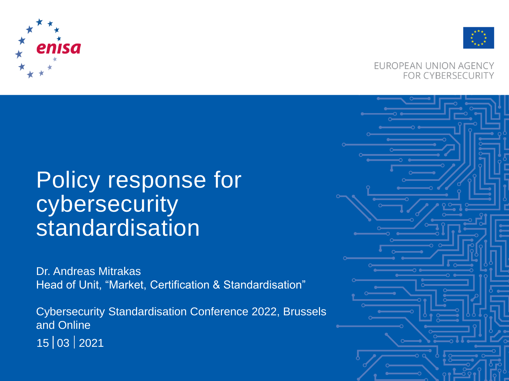



#### EUROPEAN UNION AGENCY **FOR CYBERSECURITY**

# Policy response for cybersecurity standardisation

Dr. Andreas Mitrakas Head of Unit, "Market, Certification & Standardisation"

Cybersecurity Standardisation Conference 2022, Brussels and Online 03 2021 15

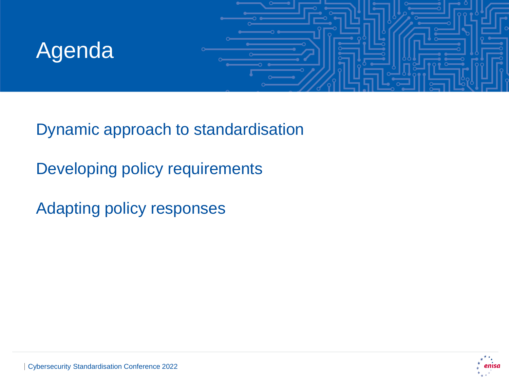# Agenda



Dynamic approach to standardisation

Developing policy requirements

Adapting policy responses

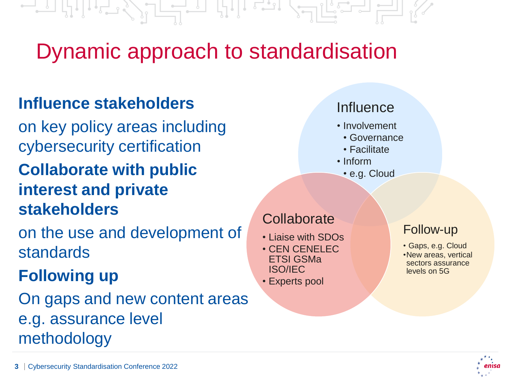Dynamic approach to standardisation

## **Influence stakeholders**

on key policy areas including cybersecurity certification **Collaborate with public interest and private stakeholders**

on the use and development of standards

## **Following up**

On gaps and new content areas e.g. assurance level methodology

## **Collaborate**

- Liaise with SDOs
- CEN CENELEC ETSI GSMa ISO/IEC • Experts pool

### • Involvement

- Governance
- Facilitate

**Influence** 

- Inform
	- e.g. Cloud

#### Follow-up

- Gaps, e.g. Cloud
- •New areas, vertical sectors assurance levels on 5G

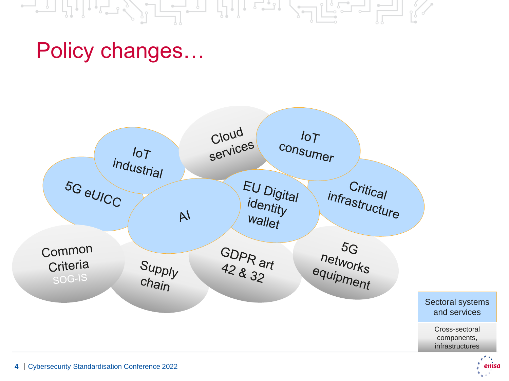#### $\begin{picture}(20,10) \put(0,0){\line(1,0){10}} \put(15,0){\line(1,0){10}} \put(15,0){\line(1,0){10}} \put(15,0){\line(1,0){10}} \put(15,0){\line(1,0){10}} \put(15,0){\line(1,0){10}} \put(15,0){\line(1,0){10}} \put(15,0){\line(1,0){10}} \put(15,0){\line(1,0){10}} \put(15,0){\line(1,0){10}} \put(15,0){\line(1,0){10}} \put(15,0){\line(1$ 나나 로고 河はこっちゃ

## Policy changes…

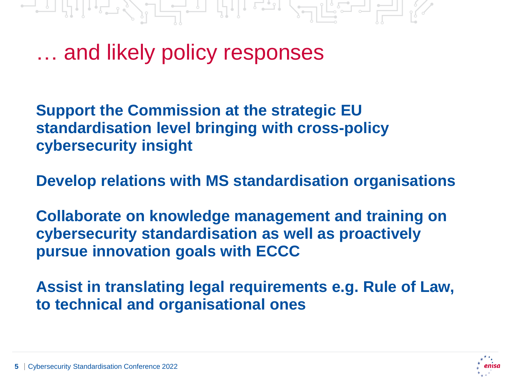그리 바람 수는 그리 바람 그는 말을 길이 없어.

… and likely policy responses

**Support the Commission at the strategic EU standardisation level bringing with cross-policy cybersecurity insight**

**Develop relations with MS standardisation organisations**

**Collaborate on knowledge management and training on cybersecurity standardisation as well as proactively pursue innovation goals with ECCC**

**Assist in translating legal requirements e.g. Rule of Law, to technical and organisational ones** 



**5** Cybersecurity Standardisation Conference 2022